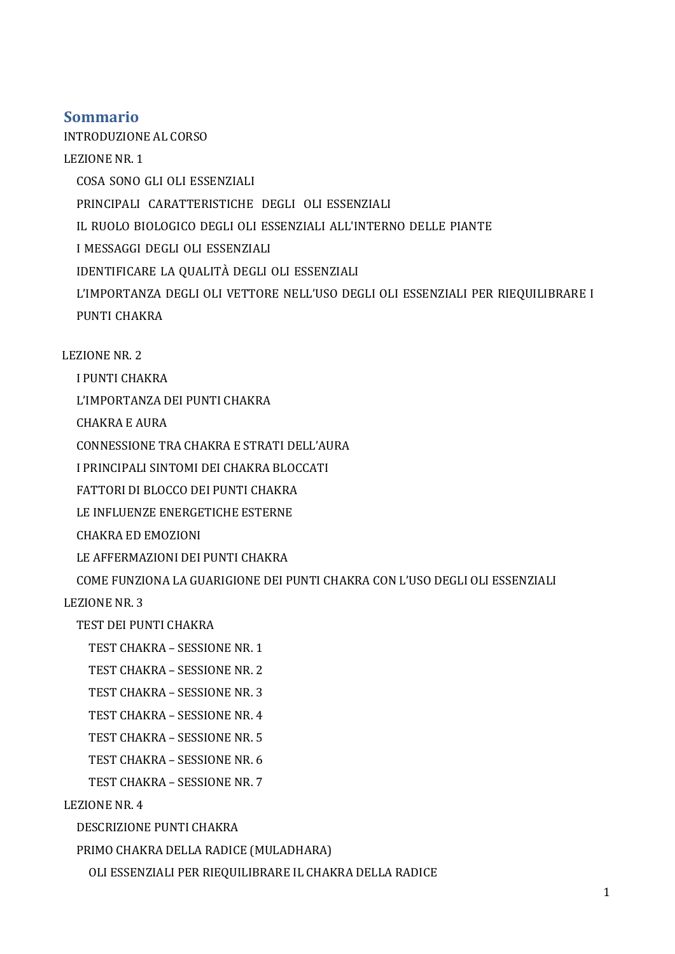1

## **Sommario**

INTRODUZIONE AL CORSO LEZIONE NR. 1 COSA SONO GLI OLI ESSENZIALI PRINCIPALI CARATTERISTICHE DEGLI OLI ESSENZIALI IL RUOLO BIOLOGICO DEGLI OLI ESSENZIALI ALL'INTERNO DELLE PIANTE I MESSAGGI DEGLI OLI ESSENZIALI IDENTIFICARE LA QUALITÀ DEGLI OLI ESSENZIALI L'IMPORTANZA DEGLI OLI VETTORE NELL'USO DEGLI OLI ESSENZIALI PER RIEQUILIBRARE I PUNTI CHAKRA

LEZIONE NR. 2

I PUNTI CHAKRA

L'IMPORTANZA DEI PUNTI CHAKRA

CHAKRA E AURA

CONNESSIONE TRA CHAKRA E STRATI DELL'AURA

I PRINCIPALI SINTOMI DEI CHAKRA BLOCCATI

FATTORI DI BLOCCO DEI PUNTI CHAKRA

LE INFLUENZE ENERGETICHE ESTERNE

CHAKRA ED EMOZIONI

LE AFFERMAZIONI DEI PUNTI CHAKRA

COME FUNZIONA LA GUARIGIONE DEI PUNTI CHAKRA CON L'USO DEGLI OLI ESSENZIALI

LEZIONE NR. 3

TEST DEI PUNTI CHAKRA

TEST CHAKRA – SESSIONE NR. 1

TEST CHAKRA – SESSIONE NR. 2

TEST CHAKRA – SESSIONE NR. 3

TEST CHAKRA – SESSIONE NR. 4

TEST CHAKRA – SESSIONE NR. 5

TEST CHAKRA – SESSIONE NR. 6

TEST CHAKRA – SESSIONE NR. 7

LEZIONE NR. 4

DESCRIZIONE PUNTI CHAKRA

PRIMO CHAKRA DELLA RADICE (MULADHARA)

OLI ESSENZIALI PER RIEQUILIBRARE IL CHAKRA DELLA RADICE